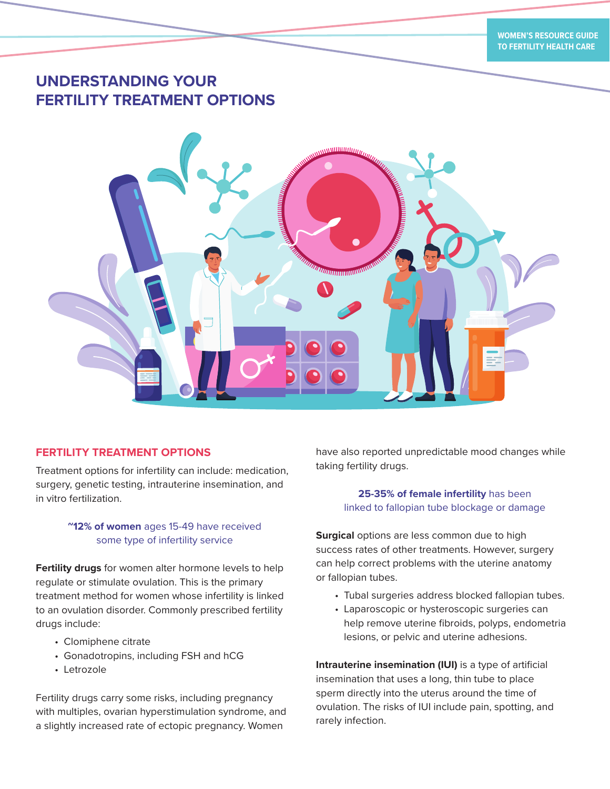# **UNDERSTANDING YOUR FERTILITY TREATMENT OPTIONS**



# **FERTILITY TREATMENT OPTIONS**

Treatment options for infertility can include: medication, surgery, genetic testing, intrauterine insemination, and in vitro fertilization.

# **~12% of women** ages 15-49 have received some type of infertility service

**Fertility drugs** for women alter hormone levels to help regulate or stimulate ovulation. This is the primary treatment method for women whose infertility is linked to an ovulation disorder. Commonly prescribed fertility drugs include:

- Clomiphene citrate
- Gonadotropins, including FSH and hCG
- Letrozole

Fertility drugs carry some risks, including pregnancy with multiples, ovarian hyperstimulation syndrome, and a slightly increased rate of ectopic pregnancy. Women

have also reported unpredictable mood changes while taking fertility drugs.

# **25-35% of female infertility** has been linked to fallopian tube blockage or damage

**Surgical** options are less common due to high success rates of other treatments. However, surgery can help correct problems with the uterine anatomy or fallopian tubes.

- Tubal surgeries address blocked fallopian tubes.
- Laparoscopic or hysteroscopic surgeries can help remove uterine fibroids, polyps, endometria lesions, or pelvic and uterine adhesions.

**Intrauterine insemination (IUI)** is a type of artificial insemination that uses a long, thin tube to place sperm directly into the uterus around the time of ovulation. The risks of IUI include pain, spotting, and rarely infection.